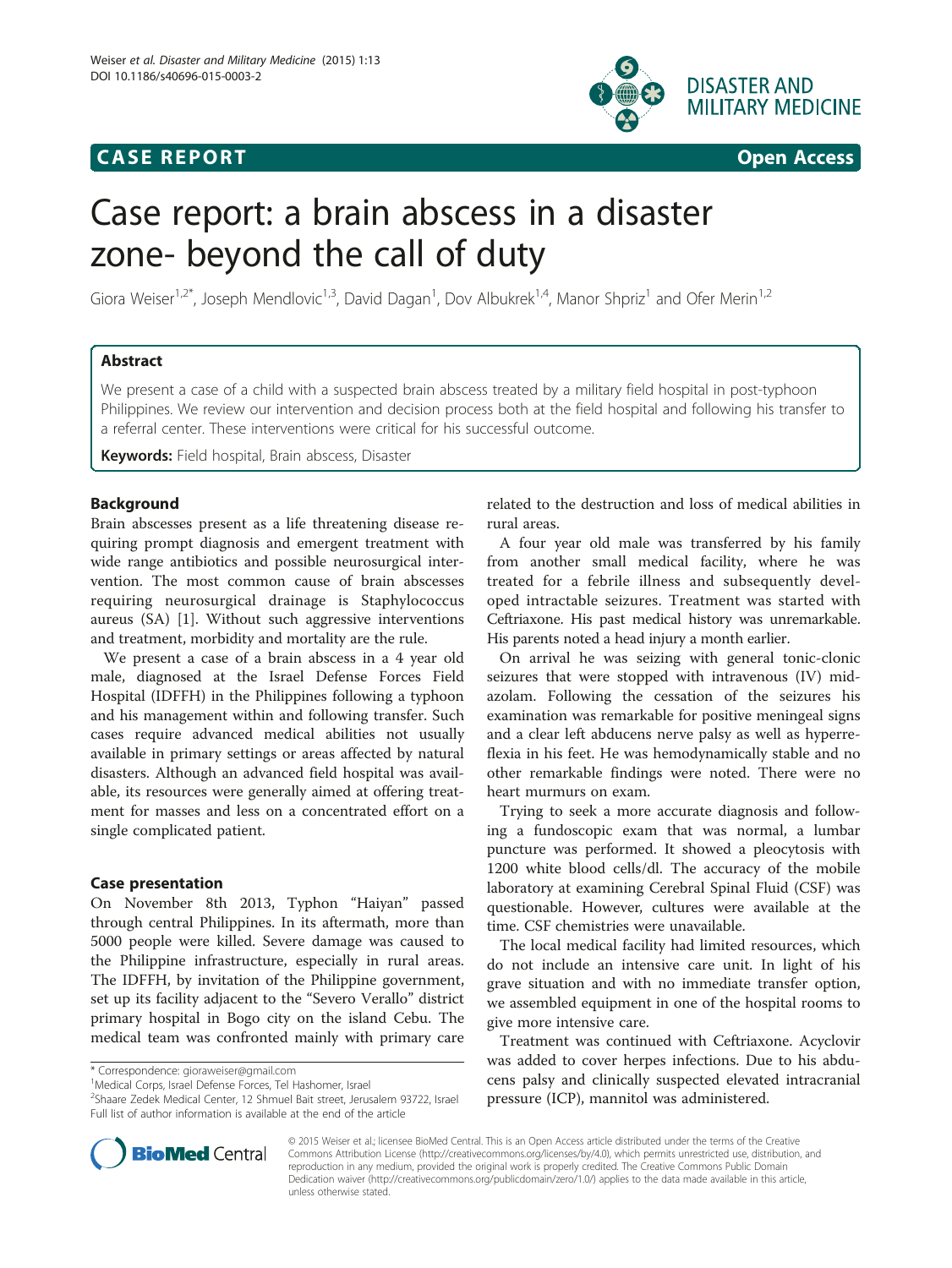## **CASE REPORT CASE REPORT CASE REPORT**



# Case report: a brain abscess in a disaster zone- beyond the call of duty

Giora Weiser<sup>1,2\*</sup>, Joseph Mendlovic<sup>1,3</sup>, David Dagan<sup>1</sup>, Dov Albukrek<sup>1,4</sup>, Manor Shpriz<sup>1</sup> and Ofer Merin<sup>1,2</sup>

### Abstract

We present a case of a child with a suspected brain abscess treated by a military field hospital in post-typhoon Philippines. We review our intervention and decision process both at the field hospital and following his transfer to a referral center. These interventions were critical for his successful outcome.

Keywords: Field hospital, Brain abscess, Disaster

#### Background

Brain abscesses present as a life threatening disease requiring prompt diagnosis and emergent treatment with wide range antibiotics and possible neurosurgical intervention. The most common cause of brain abscesses requiring neurosurgical drainage is Staphylococcus aureus (SA) [\[1](#page-2-0)]. Without such aggressive interventions and treatment, morbidity and mortality are the rule.

We present a case of a brain abscess in a 4 year old male, diagnosed at the Israel Defense Forces Field Hospital (IDFFH) in the Philippines following a typhoon and his management within and following transfer. Such cases require advanced medical abilities not usually available in primary settings or areas affected by natural disasters. Although an advanced field hospital was available, its resources were generally aimed at offering treatment for masses and less on a concentrated effort on a single complicated patient.

#### Case presentation

On November 8th 2013, Typhon "Haiyan" passed through central Philippines. In its aftermath, more than 5000 people were killed. Severe damage was caused to the Philippine infrastructure, especially in rural areas. The IDFFH, by invitation of the Philippine government, set up its facility adjacent to the "Severo Verallo" district primary hospital in Bogo city on the island Cebu. The medical team was confronted mainly with primary care



A four year old male was transferred by his family from another small medical facility, where he was treated for a febrile illness and subsequently developed intractable seizures. Treatment was started with Ceftriaxone. His past medical history was unremarkable. His parents noted a head injury a month earlier.

On arrival he was seizing with general tonic-clonic seizures that were stopped with intravenous (IV) midazolam. Following the cessation of the seizures his examination was remarkable for positive meningeal signs and a clear left abducens nerve palsy as well as hyperreflexia in his feet. He was hemodynamically stable and no other remarkable findings were noted. There were no heart murmurs on exam.

Trying to seek a more accurate diagnosis and following a fundoscopic exam that was normal, a lumbar puncture was performed. It showed a pleocytosis with 1200 white blood cells/dl. The accuracy of the mobile laboratory at examining Cerebral Spinal Fluid (CSF) was questionable. However, cultures were available at the time. CSF chemistries were unavailable.

The local medical facility had limited resources, which do not include an intensive care unit. In light of his grave situation and with no immediate transfer option, we assembled equipment in one of the hospital rooms to give more intensive care.

Treatment was continued with Ceftriaxone. Acyclovir was added to cover herpes infections. Due to his abducens palsy and clinically suspected elevated intracranial pressure (ICP), mannitol was administered.



© 2015 Weiser et al.; licensee BioMed Central. This is an Open Access article distributed under the terms of the Creative Commons Attribution License [\(http://creativecommons.org/licenses/by/4.0\)](http://creativecommons.org/licenses/by/4.0), which permits unrestricted use, distribution, and reproduction in any medium, provided the original work is properly credited. The Creative Commons Public Domain Dedication waiver [\(http://creativecommons.org/publicdomain/zero/1.0/](http://creativecommons.org/publicdomain/zero/1.0/)) applies to the data made available in this article, unless otherwise stated.

<sup>\*</sup> Correspondence: [gioraweiser@gmail.com](mailto:gioraweiser@gmail.com) <sup>1</sup>

<sup>&</sup>lt;sup>1</sup>Medical Corps, Israel Defense Forces, Tel Hashomer, Israel

<sup>&</sup>lt;sup>2</sup>Shaare Zedek Medical Center, 12 Shmuel Bait street, Jerusalem 93722, Israel Full list of author information is available at the end of the article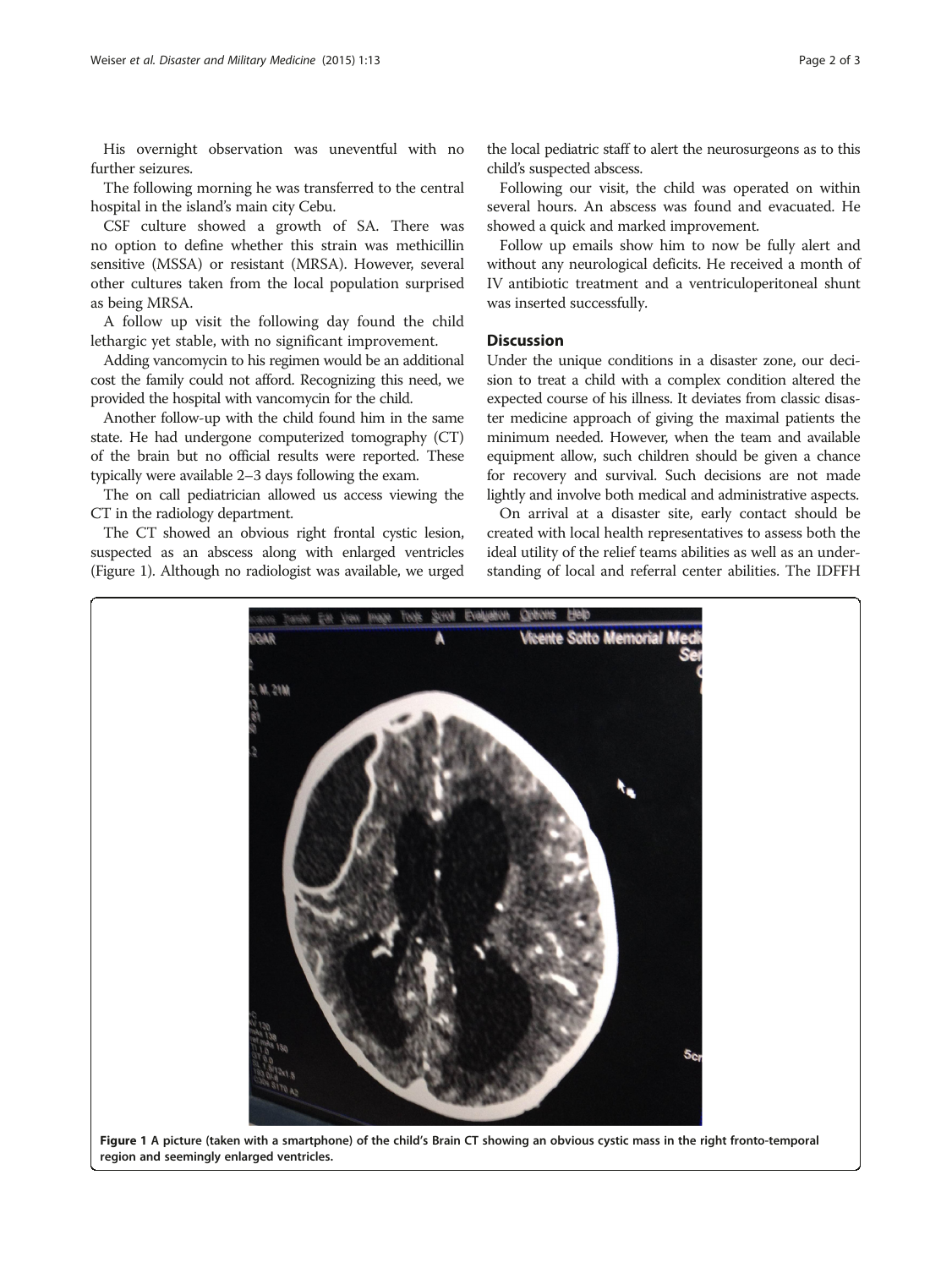His overnight observation was uneventful with no further seizures.

The following morning he was transferred to the central hospital in the island's main city Cebu.

CSF culture showed a growth of SA. There was no option to define whether this strain was methicillin sensitive (MSSA) or resistant (MRSA). However, several other cultures taken from the local population surprised as being MRSA.

A follow up visit the following day found the child lethargic yet stable, with no significant improvement.

Adding vancomycin to his regimen would be an additional cost the family could not afford. Recognizing this need, we provided the hospital with vancomycin for the child.

Another follow-up with the child found him in the same state. He had undergone computerized tomography (CT) of the brain but no official results were reported. These typically were available 2–3 days following the exam.

The on call pediatrician allowed us access viewing the CT in the radiology department.

The CT showed an obvious right frontal cystic lesion, suspected as an abscess along with enlarged ventricles (Figure 1). Although no radiologist was available, we urged

the local pediatric staff to alert the neurosurgeons as to this child's suspected abscess.

Following our visit, the child was operated on within several hours. An abscess was found and evacuated. He showed a quick and marked improvement.

Follow up emails show him to now be fully alert and without any neurological deficits. He received a month of IV antibiotic treatment and a ventriculoperitoneal shunt was inserted successfully.

#### **Discussion**

Under the unique conditions in a disaster zone, our decision to treat a child with a complex condition altered the expected course of his illness. It deviates from classic disaster medicine approach of giving the maximal patients the minimum needed. However, when the team and available equipment allow, such children should be given a chance for recovery and survival. Such decisions are not made lightly and involve both medical and administrative aspects.

On arrival at a disaster site, early contact should be created with local health representatives to assess both the ideal utility of the relief teams abilities as well as an understanding of local and referral center abilities. The IDFFH



Figure 1 A picture (taken with a smartphone) of the child's Brain CT showing an obvious cystic mass in the right fronto-temporal region and seemingly enlarged ventricles.